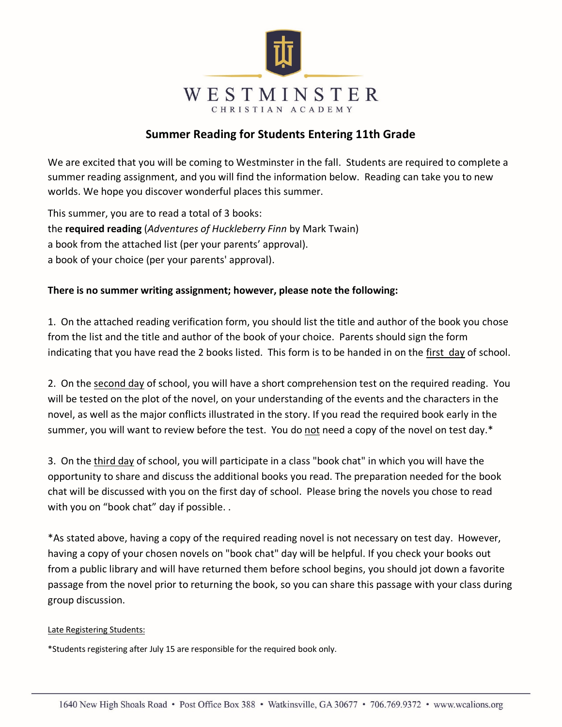

#### **Summer Reading for Students Entering 11th Grade**

We are excited that you will be coming to Westminster in the fall. Students are required to complete a summer reading assignment, and you will find the information below. Reading can take you to new worlds. We hope you discover wonderful places this summer.

This summer, you are to read a total of 3 books: the **required reading** (*Adventures of Huckleberry Finn* by Mark Twain) a book from the attached list (per your parents' approval). a book of your choice (per your parents' approval).

#### **There is no summer writing assignment; however, please note the following:**

1. On the attached reading verification form, you should list the title and author of the book you chose from the list and the title and author of the book of your choice. Parents should sign the form indicating that you have read the 2 books listed. This form is to be handed in on the first day of school.

2. On the second day of school, you will have a short comprehension test on the required reading. You will be tested on the plot of the novel, on your understanding of the events and the characters in the novel, as well as the major conflicts illustrated in the story. If you read the required book early in the summer, you will want to review before the test. You do not need a copy of the novel on test day.\*

3. On the third day of school, you will participate in a class "book chat" in which you will have the opportunity to share and discuss the additional books you read. The preparation needed for the book chat will be discussed with you on the first day of school. Please bring the novels you chose to read with you on "book chat" day if possible. .

\*As stated above, having a copy of the required reading novel is not necessary on test day. However, having a copy of your chosen novels on "book chat" day will be helpful. If you check your books out from a public library and will have returned them before school begins, you should jot down a favorite passage from the novel prior to returning the book, so you can share this passage with your class during group discussion.

#### Late Registering Students:

\*Students registering after July 15 are responsible for the required book only.

5/21/20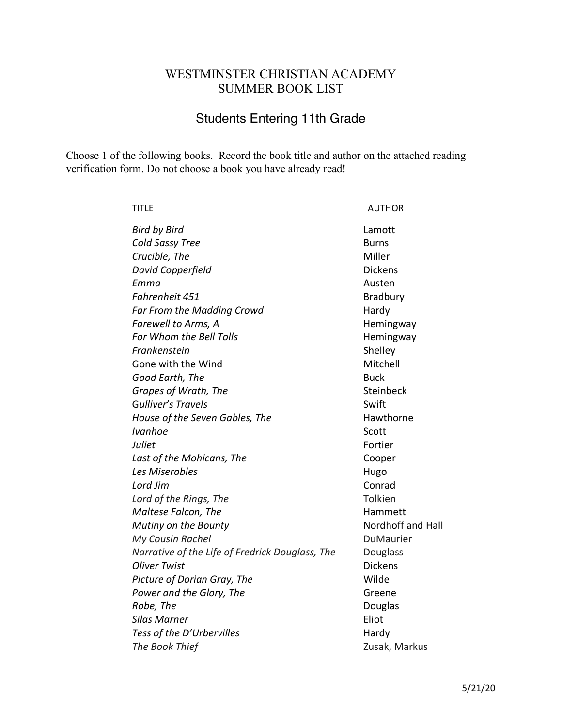## WESTMINSTER CHRISTIAN ACADEMY SUMMER BOOK LIST

# Students Entering 11th Grade

Choose 1 of the following books. Record the book title and author on the attached reading verification form. Do not choose a book you have already read!

| <b>TITLE</b>                                    | <b>AUTHOR</b>     |
|-------------------------------------------------|-------------------|
| <b>Bird by Bird</b>                             | Lamott            |
| Cold Sassy Tree                                 | <b>Burns</b>      |
| Crucible, The                                   | Miller            |
| David Copperfield                               | <b>Dickens</b>    |
| Emma                                            | Austen            |
| Fahrenheit 451                                  | Bradbury          |
| Far From the Madding Crowd                      | Hardy             |
| Farewell to Arms, A                             | Hemingway         |
| For Whom the Bell Tolls                         | Hemingway         |
| Frankenstein                                    | Shelley           |
| Gone with the Wind                              | Mitchell          |
| Good Earth, The                                 | <b>Buck</b>       |
| Grapes of Wrath, The                            | Steinbeck         |
| Gulliver's Travels                              | Swift             |
| House of the Seven Gables, The                  | Hawthorne         |
| <b>Ivanhoe</b>                                  | Scott             |
| Juliet                                          | Fortier           |
| Last of the Mohicans, The                       | Cooper            |
| Les Miserables                                  | Hugo              |
| Lord Jim                                        | Conrad            |
| Lord of the Rings, The                          | Tolkien           |
| Maltese Falcon, The                             | Hammett           |
| Mutiny on the Bounty                            | Nordhoff and Hall |
| My Cousin Rachel                                | DuMaurier         |
| Narrative of the Life of Fredrick Douglass, The | Douglass          |
| <b>Oliver Twist</b>                             | <b>Dickens</b>    |
| Picture of Dorian Gray, The                     | Wilde             |
| Power and the Glory, The                        | Greene            |
| Robe, The                                       | Douglas           |
| Silas Marner                                    | Eliot             |
| Tess of the D'Urbervilles                       | Hardy             |
| The Book Thief                                  | Zusak, Markus     |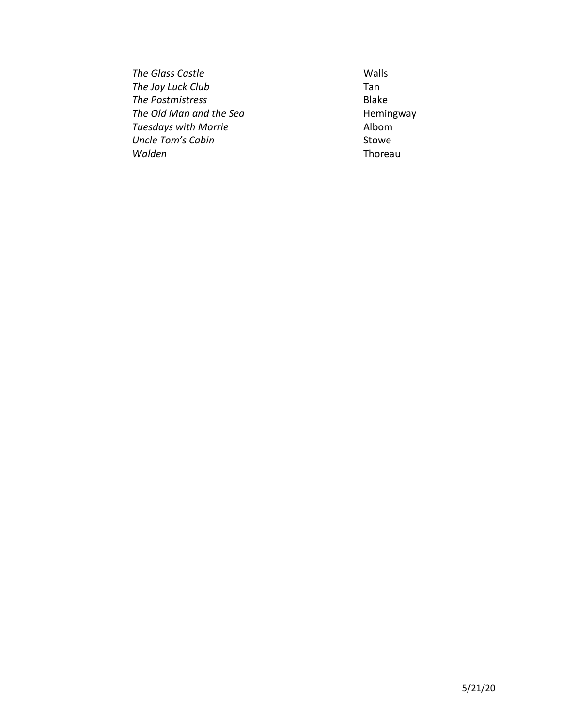**The Glass Castle** Walls **The Joy Luck Club** Tan **The Postmistress** Blake The Old Man and the Sea **Hemingway Tuesdays with Morrie Albom Uncle Tom's Cabin** Stowe *Walden* Thoreau